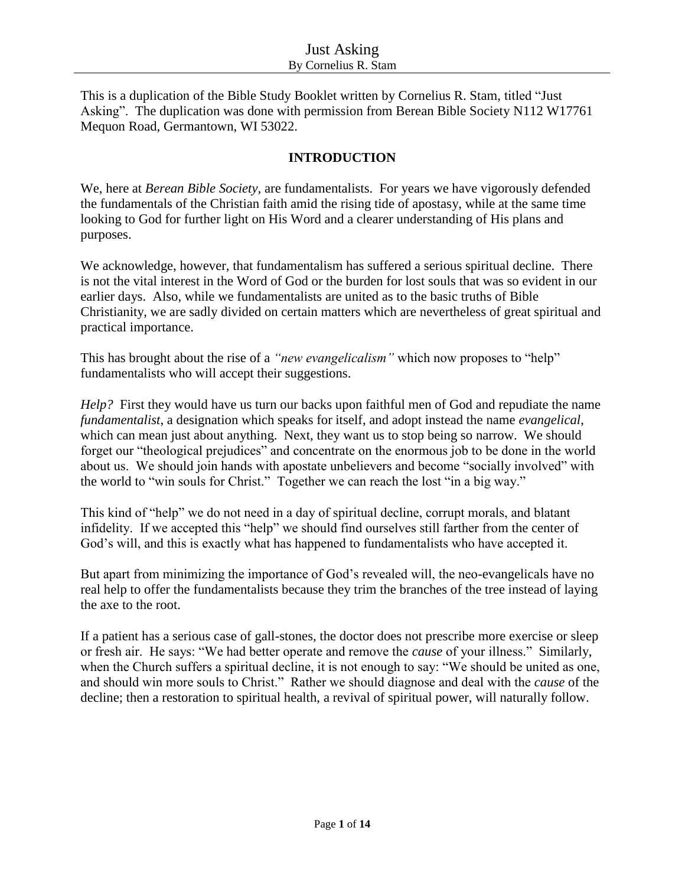This is a duplication of the Bible Study Booklet written by Cornelius R. Stam, titled "Just Asking". The duplication was done with permission from Berean Bible Society N112 W17761 Mequon Road, Germantown, WI 53022.

# **INTRODUCTION**

We, here at *Berean Bible Society*, are fundamentalists. For years we have vigorously defended the fundamentals of the Christian faith amid the rising tide of apostasy, while at the same time looking to God for further light on His Word and a clearer understanding of His plans and purposes.

We acknowledge, however, that fundamentalism has suffered a serious spiritual decline. There is not the vital interest in the Word of God or the burden for lost souls that was so evident in our earlier days. Also, while we fundamentalists are united as to the basic truths of Bible Christianity, we are sadly divided on certain matters which are nevertheless of great spiritual and practical importance.

This has brought about the rise of a *"new evangelicalism"* which now proposes to "help" fundamentalists who will accept their suggestions.

*Help?* First they would have us turn our backs upon faithful men of God and repudiate the name *fundamentalist*, a designation which speaks for itself, and adopt instead the name *evangelical*, which can mean just about anything. Next, they want us to stop being so narrow. We should forget our "theological prejudices" and concentrate on the enormous job to be done in the world about us. We should join hands with apostate unbelievers and become "socially involved" with the world to "win souls for Christ." Together we can reach the lost "in a big way."

This kind of "help" we do not need in a day of spiritual decline, corrupt morals, and blatant infidelity. If we accepted this "help" we should find ourselves still farther from the center of God's will, and this is exactly what has happened to fundamentalists who have accepted it.

But apart from minimizing the importance of God's revealed will, the neo-evangelicals have no real help to offer the fundamentalists because they trim the branches of the tree instead of laying the axe to the root.

If a patient has a serious case of gall-stones, the doctor does not prescribe more exercise or sleep or fresh air. He says: "We had better operate and remove the *cause* of your illness." Similarly, when the Church suffers a spiritual decline, it is not enough to say: "We should be united as one, and should win more souls to Christ." Rather we should diagnose and deal with the *cause* of the decline; then a restoration to spiritual health, a revival of spiritual power, will naturally follow.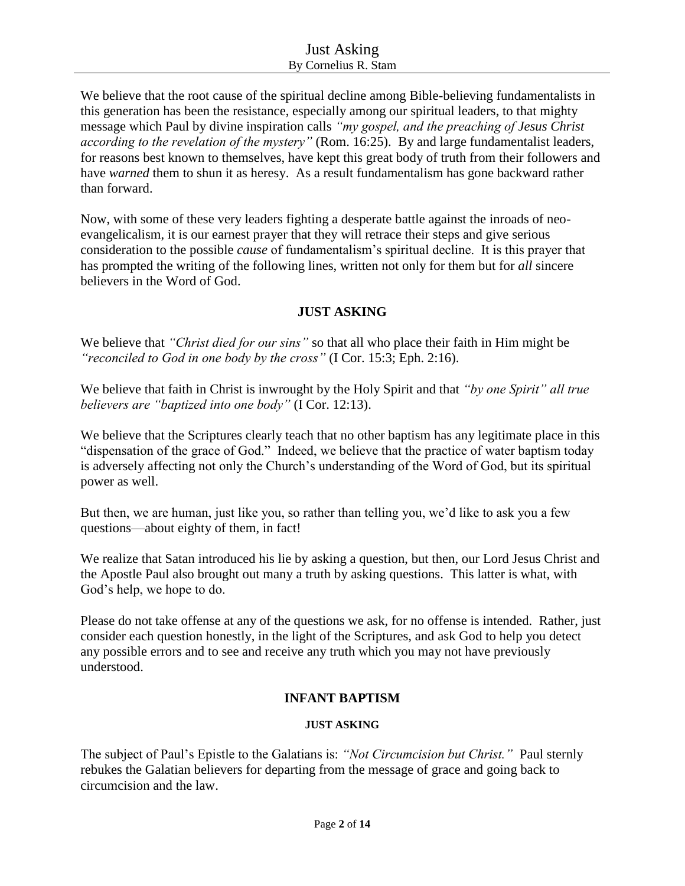We believe that the root cause of the spiritual decline among Bible-believing fundamentalists in this generation has been the resistance, especially among our spiritual leaders, to that mighty message which Paul by divine inspiration calls *"my gospel, and the preaching of Jesus Christ according to the revelation of the mystery"* (Rom. 16:25). By and large fundamentalist leaders, for reasons best known to themselves, have kept this great body of truth from their followers and have *warned* them to shun it as heresy. As a result fundamentalism has gone backward rather than forward.

Now, with some of these very leaders fighting a desperate battle against the inroads of neoevangelicalism, it is our earnest prayer that they will retrace their steps and give serious consideration to the possible *cause* of fundamentalism's spiritual decline. It is this prayer that has prompted the writing of the following lines, written not only for them but for *all* sincere believers in the Word of God.

## **JUST ASKING**

We believe that *"Christ died for our sins"* so that all who place their faith in Him might be *"reconciled to God in one body by the cross"* (I Cor. 15:3; Eph. 2:16).

We believe that faith in Christ is inwrought by the Holy Spirit and that *"by one Spirit" all true believers are "baptized into one body"* (I Cor. 12:13).

We believe that the Scriptures clearly teach that no other baptism has any legitimate place in this "dispensation of the grace of God." Indeed, we believe that the practice of water baptism today is adversely affecting not only the Church's understanding of the Word of God, but its spiritual power as well.

But then, we are human, just like you, so rather than telling you, we'd like to ask you a few questions—about eighty of them, in fact!

We realize that Satan introduced his lie by asking a question, but then, our Lord Jesus Christ and the Apostle Paul also brought out many a truth by asking questions. This latter is what, with God's help, we hope to do.

Please do not take offense at any of the questions we ask, for no offense is intended. Rather, just consider each question honestly, in the light of the Scriptures, and ask God to help you detect any possible errors and to see and receive any truth which you may not have previously understood.

## **INFANT BAPTISM**

## **JUST ASKING**

The subject of Paul's Epistle to the Galatians is: *"Not Circumcision but Christ."* Paul sternly rebukes the Galatian believers for departing from the message of grace and going back to circumcision and the law.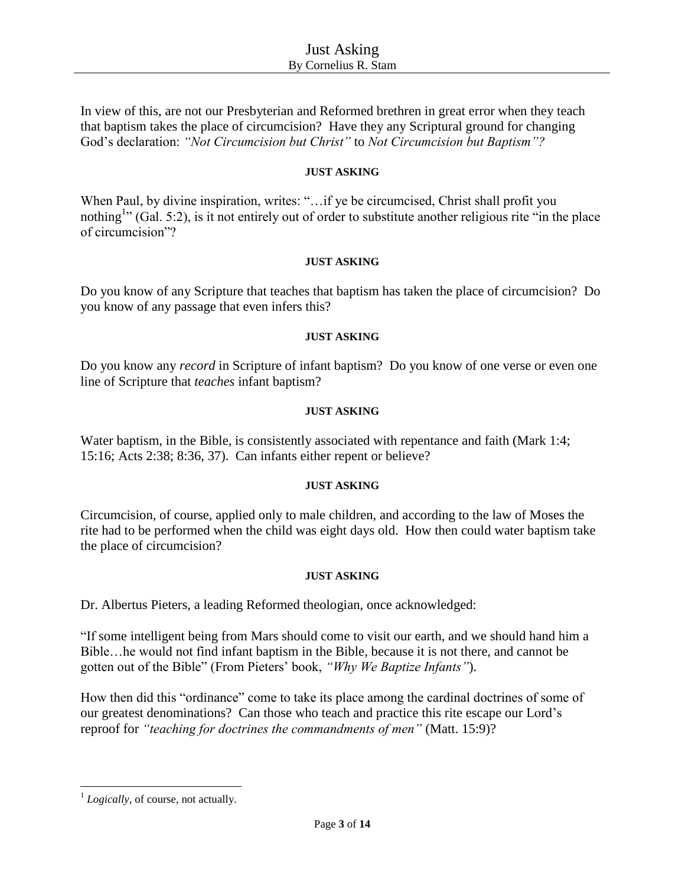In view of this, are not our Presbyterian and Reformed brethren in great error when they teach that baptism takes the place of circumcision? Have they any Scriptural ground for changing God's declaration: *"Not Circumcision but Christ"* to *Not Circumcision but Baptism"?*

#### **JUST ASKING**

When Paul, by divine inspiration, writes: "... if ye be circumcised, Christ shall profit you nothing<sup>1</sup>" (Gal. 5:2), is it not entirely out of order to substitute another religious rite "in the place" of circumcision"?

#### **JUST ASKING**

Do you know of any Scripture that teaches that baptism has taken the place of circumcision? Do you know of any passage that even infers this?

#### **JUST ASKING**

Do you know any *record* in Scripture of infant baptism? Do you know of one verse or even one line of Scripture that *teaches* infant baptism?

#### **JUST ASKING**

Water baptism, in the Bible, is consistently associated with repentance and faith (Mark 1:4; 15:16; Acts 2:38; 8:36, 37). Can infants either repent or believe?

## **JUST ASKING**

Circumcision, of course, applied only to male children, and according to the law of Moses the rite had to be performed when the child was eight days old. How then could water baptism take the place of circumcision?

## **JUST ASKING**

Dr. Albertus Pieters, a leading Reformed theologian, once acknowledged:

"If some intelligent being from Mars should come to visit our earth, and we should hand him a Bible…he would not find infant baptism in the Bible, because it is not there, and cannot be gotten out of the Bible" (From Pieters' book, *"Why We Baptize Infants"*).

How then did this "ordinance" come to take its place among the cardinal doctrines of some of our greatest denominations? Can those who teach and practice this rite escape our Lord's reproof for *"teaching for doctrines the commandments of men"* (Matt. 15:9)?

 $\overline{\phantom{a}}$ 

<sup>&</sup>lt;sup>1</sup> Logically, of course, not actually.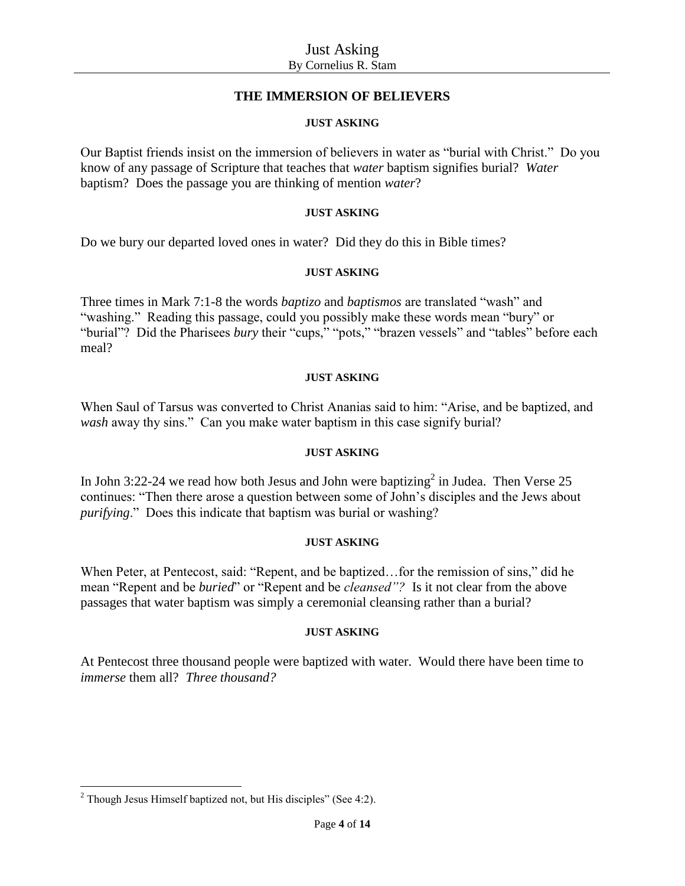## **THE IMMERSION OF BELIEVERS**

## **JUST ASKING**

Our Baptist friends insist on the immersion of believers in water as "burial with Christ." Do you know of any passage of Scripture that teaches that *water* baptism signifies burial? *Water* baptism? Does the passage you are thinking of mention *water*?

## **JUST ASKING**

Do we bury our departed loved ones in water? Did they do this in Bible times?

## **JUST ASKING**

Three times in Mark 7:1-8 the words *baptizo* and *baptismos* are translated "wash" and "washing." Reading this passage, could you possibly make these words mean "bury" or "burial"? Did the Pharisees *bury* their "cups," "pots," "brazen vessels" and "tables" before each meal?

## **JUST ASKING**

When Saul of Tarsus was converted to Christ Ananias said to him: "Arise, and be baptized, and *wash* away thy sins." Can you make water baptism in this case signify burial?

## **JUST ASKING**

In John 3:22-24 we read how both Jesus and John were baptizing<sup>2</sup> in Judea. Then Verse 25 continues: "Then there arose a question between some of John's disciples and the Jews about *purifying*." Does this indicate that baptism was burial or washing?

## **JUST ASKING**

When Peter, at Pentecost, said: "Repent, and be baptized…for the remission of sins," did he mean "Repent and be *buried*" or "Repent and be *cleansed"?* Is it not clear from the above passages that water baptism was simply a ceremonial cleansing rather than a burial?

## **JUST ASKING**

At Pentecost three thousand people were baptized with water. Would there have been time to *immerse* them all? *Three thousand?*

 $\overline{\phantom{a}}$  $2$  Though Jesus Himself baptized not, but His disciples" (See 4:2).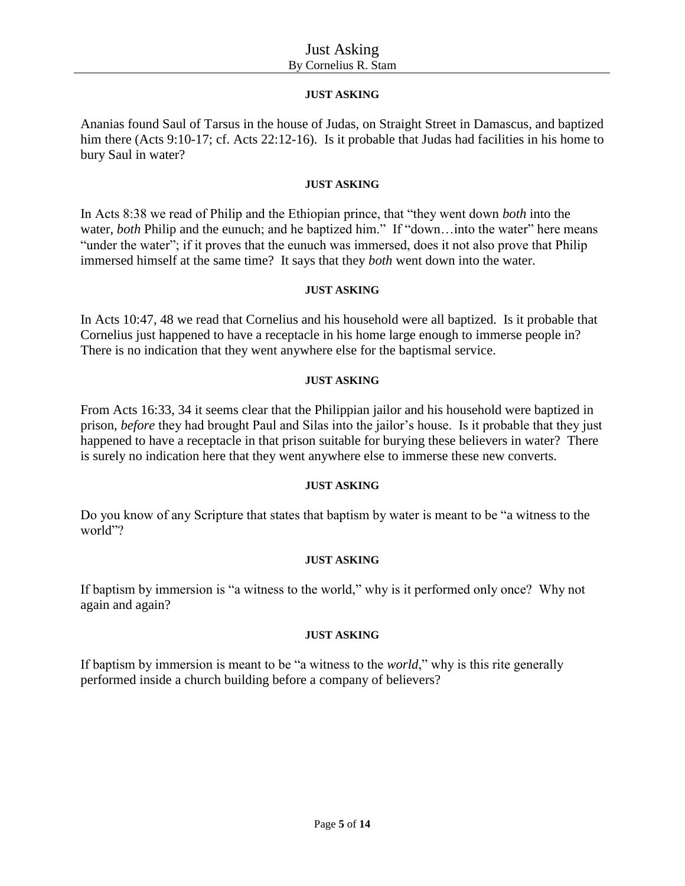## **JUST ASKING**

Ananias found Saul of Tarsus in the house of Judas, on Straight Street in Damascus, and baptized him there (Acts 9:10-17; cf. Acts 22:12-16). Is it probable that Judas had facilities in his home to bury Saul in water?

### **JUST ASKING**

In Acts 8:38 we read of Philip and the Ethiopian prince, that "they went down *both* into the water, *both* Philip and the eunuch; and he baptized him." If "down...into the water" here means "under the water"; if it proves that the eunuch was immersed, does it not also prove that Philip immersed himself at the same time? It says that they *both* went down into the water.

#### **JUST ASKING**

In Acts 10:47, 48 we read that Cornelius and his household were all baptized. Is it probable that Cornelius just happened to have a receptacle in his home large enough to immerse people in? There is no indication that they went anywhere else for the baptismal service.

#### **JUST ASKING**

From Acts 16:33, 34 it seems clear that the Philippian jailor and his household were baptized in prison, *before* they had brought Paul and Silas into the jailor's house. Is it probable that they just happened to have a receptacle in that prison suitable for burying these believers in water? There is surely no indication here that they went anywhere else to immerse these new converts.

#### **JUST ASKING**

Do you know of any Scripture that states that baptism by water is meant to be "a witness to the world"?

## **JUST ASKING**

If baptism by immersion is "a witness to the world," why is it performed only once? Why not again and again?

#### **JUST ASKING**

If baptism by immersion is meant to be "a witness to the *world*," why is this rite generally performed inside a church building before a company of believers?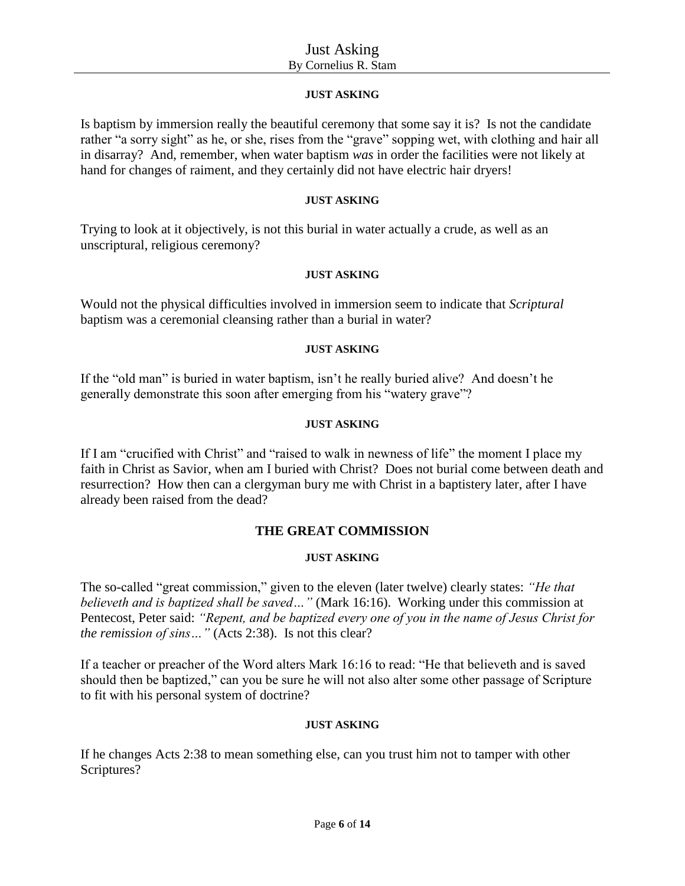### **JUST ASKING**

Is baptism by immersion really the beautiful ceremony that some say it is? Is not the candidate rather "a sorry sight" as he, or she, rises from the "grave" sopping wet, with clothing and hair all in disarray? And, remember, when water baptism *was* in order the facilities were not likely at hand for changes of raiment, and they certainly did not have electric hair dryers!

#### **JUST ASKING**

Trying to look at it objectively, is not this burial in water actually a crude, as well as an unscriptural, religious ceremony?

#### **JUST ASKING**

Would not the physical difficulties involved in immersion seem to indicate that *Scriptural* baptism was a ceremonial cleansing rather than a burial in water?

#### **JUST ASKING**

If the "old man" is buried in water baptism, isn't he really buried alive? And doesn't he generally demonstrate this soon after emerging from his "watery grave"?

#### **JUST ASKING**

If I am "crucified with Christ" and "raised to walk in newness of life" the moment I place my faith in Christ as Savior, when am I buried with Christ? Does not burial come between death and resurrection? How then can a clergyman bury me with Christ in a baptistery later, after I have already been raised from the dead?

## **THE GREAT COMMISSION**

## **JUST ASKING**

The so-called "great commission," given to the eleven (later twelve) clearly states: *"He that believeth and is baptized shall be saved…"* (Mark 16:16). Working under this commission at Pentecost, Peter said: *"Repent, and be baptized every one of you in the name of Jesus Christ for the remission of sins…"* (Acts 2:38). Is not this clear?

If a teacher or preacher of the Word alters Mark 16:16 to read: "He that believeth and is saved should then be baptized," can you be sure he will not also alter some other passage of Scripture to fit with his personal system of doctrine?

#### **JUST ASKING**

If he changes Acts 2:38 to mean something else, can you trust him not to tamper with other Scriptures?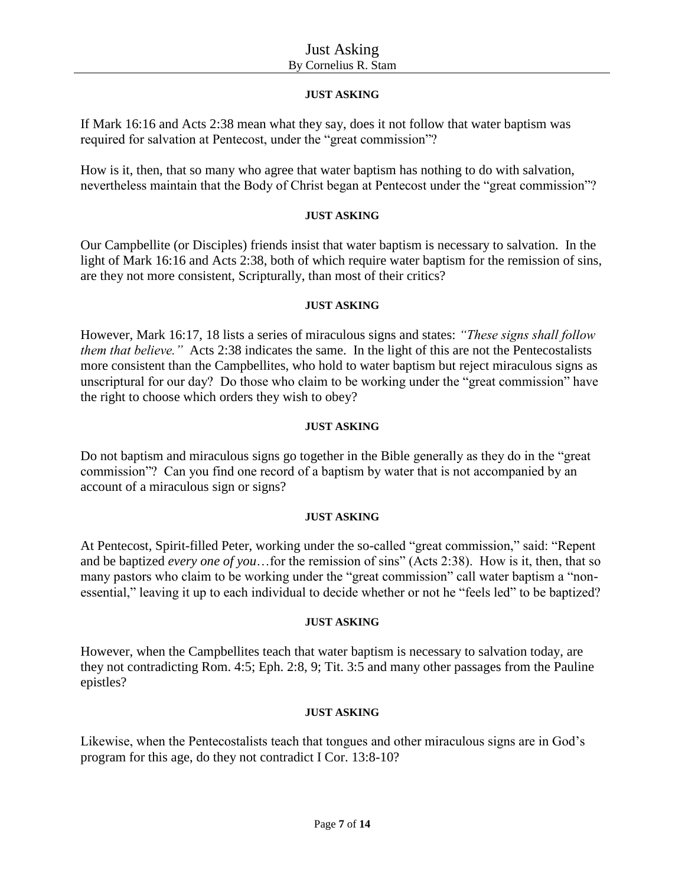## **JUST ASKING**

If Mark 16:16 and Acts 2:38 mean what they say, does it not follow that water baptism was required for salvation at Pentecost, under the "great commission"?

How is it, then, that so many who agree that water baptism has nothing to do with salvation, nevertheless maintain that the Body of Christ began at Pentecost under the "great commission"?

### **JUST ASKING**

Our Campbellite (or Disciples) friends insist that water baptism is necessary to salvation. In the light of Mark 16:16 and Acts 2:38, both of which require water baptism for the remission of sins, are they not more consistent, Scripturally, than most of their critics?

#### **JUST ASKING**

However, Mark 16:17, 18 lists a series of miraculous signs and states: *"These signs shall follow them that believe."* Acts 2:38 indicates the same. In the light of this are not the Pentecostalists more consistent than the Campbellites, who hold to water baptism but reject miraculous signs as unscriptural for our day? Do those who claim to be working under the "great commission" have the right to choose which orders they wish to obey?

#### **JUST ASKING**

Do not baptism and miraculous signs go together in the Bible generally as they do in the "great commission"? Can you find one record of a baptism by water that is not accompanied by an account of a miraculous sign or signs?

## **JUST ASKING**

At Pentecost, Spirit-filled Peter, working under the so-called "great commission," said: "Repent and be baptized *every one of you*…for the remission of sins" (Acts 2:38). How is it, then, that so many pastors who claim to be working under the "great commission" call water baptism a "nonessential," leaving it up to each individual to decide whether or not he "feels led" to be baptized?

#### **JUST ASKING**

However, when the Campbellites teach that water baptism is necessary to salvation today, are they not contradicting Rom. 4:5; Eph. 2:8, 9; Tit. 3:5 and many other passages from the Pauline epistles?

#### **JUST ASKING**

Likewise, when the Pentecostalists teach that tongues and other miraculous signs are in God's program for this age, do they not contradict I Cor. 13:8-10?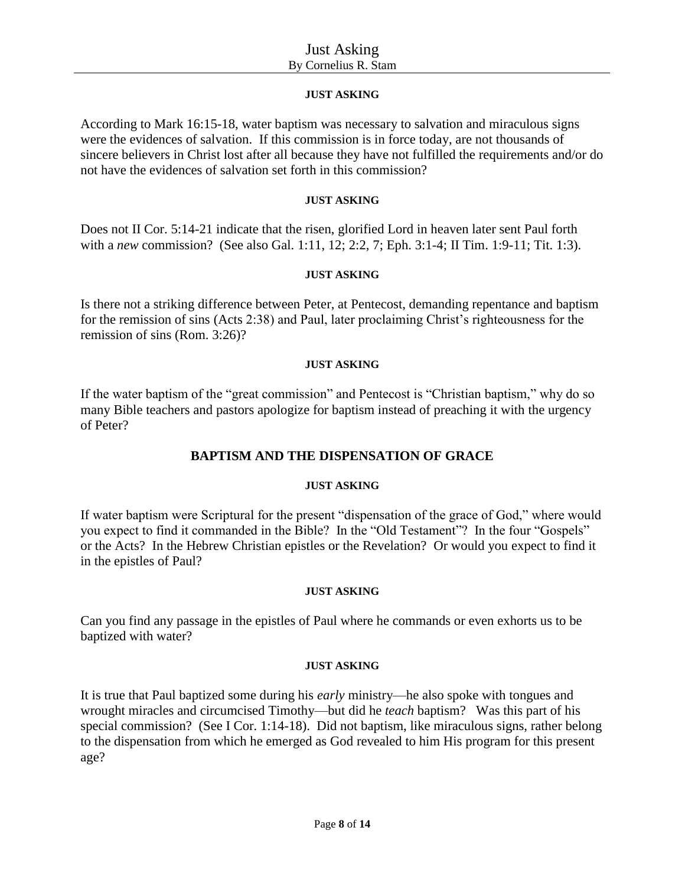## **JUST ASKING**

According to Mark 16:15-18, water baptism was necessary to salvation and miraculous signs were the evidences of salvation. If this commission is in force today, are not thousands of sincere believers in Christ lost after all because they have not fulfilled the requirements and/or do not have the evidences of salvation set forth in this commission?

#### **JUST ASKING**

Does not II Cor. 5:14-21 indicate that the risen, glorified Lord in heaven later sent Paul forth with a *new* commission? (See also Gal. 1:11, 12; 2:2, 7; Eph. 3:1-4; II Tim. 1:9-11; Tit. 1:3).

#### **JUST ASKING**

Is there not a striking difference between Peter, at Pentecost, demanding repentance and baptism for the remission of sins (Acts 2:38) and Paul, later proclaiming Christ's righteousness for the remission of sins (Rom. 3:26)?

#### **JUST ASKING**

If the water baptism of the "great commission" and Pentecost is "Christian baptism," why do so many Bible teachers and pastors apologize for baptism instead of preaching it with the urgency of Peter?

## **BAPTISM AND THE DISPENSATION OF GRACE**

## **JUST ASKING**

If water baptism were Scriptural for the present "dispensation of the grace of God," where would you expect to find it commanded in the Bible? In the "Old Testament"? In the four "Gospels" or the Acts? In the Hebrew Christian epistles or the Revelation? Or would you expect to find it in the epistles of Paul?

#### **JUST ASKING**

Can you find any passage in the epistles of Paul where he commands or even exhorts us to be baptized with water?

#### **JUST ASKING**

It is true that Paul baptized some during his *early* ministry—he also spoke with tongues and wrought miracles and circumcised Timothy—but did he *teach* baptism? Was this part of his special commission? (See I Cor. 1:14-18). Did not baptism, like miraculous signs, rather belong to the dispensation from which he emerged as God revealed to him His program for this present age?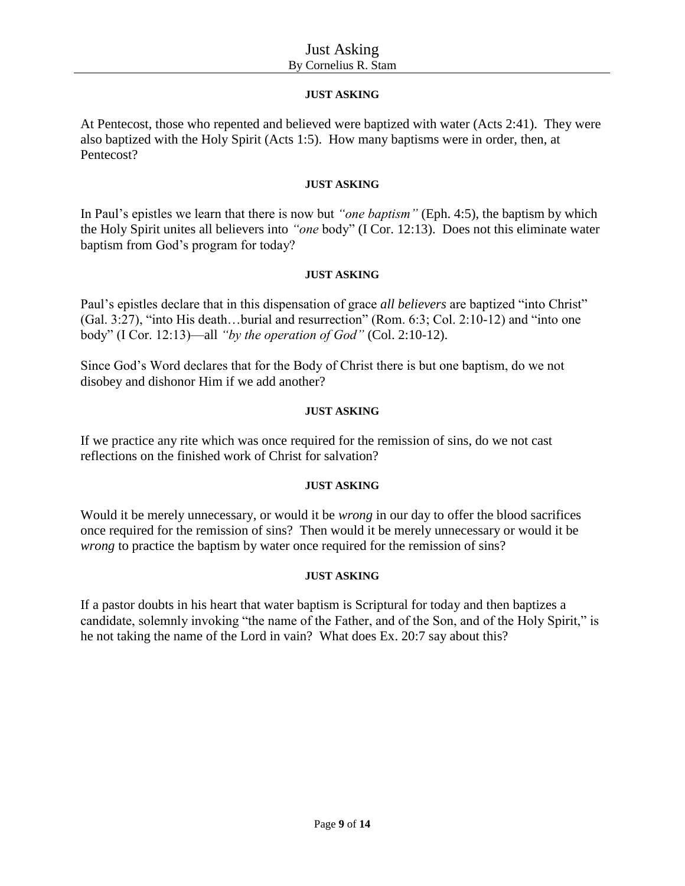## **JUST ASKING**

At Pentecost, those who repented and believed were baptized with water (Acts 2:41). They were also baptized with the Holy Spirit (Acts 1:5). How many baptisms were in order, then, at Pentecost?

## **JUST ASKING**

In Paul's epistles we learn that there is now but *"one baptism"* (Eph. 4:5), the baptism by which the Holy Spirit unites all believers into *"one* body" (I Cor. 12:13). Does not this eliminate water baptism from God's program for today?

## **JUST ASKING**

Paul's epistles declare that in this dispensation of grace *all believers* are baptized "into Christ" (Gal. 3:27), "into His death…burial and resurrection" (Rom. 6:3; Col. 2:10-12) and "into one body" (I Cor. 12:13)—all *"by the operation of God"* (Col. 2:10-12).

Since God's Word declares that for the Body of Christ there is but one baptism, do we not disobey and dishonor Him if we add another?

## **JUST ASKING**

If we practice any rite which was once required for the remission of sins, do we not cast reflections on the finished work of Christ for salvation?

## **JUST ASKING**

Would it be merely unnecessary, or would it be *wrong* in our day to offer the blood sacrifices once required for the remission of sins? Then would it be merely unnecessary or would it be *wrong* to practice the baptism by water once required for the remission of sins?

## **JUST ASKING**

If a pastor doubts in his heart that water baptism is Scriptural for today and then baptizes a candidate, solemnly invoking "the name of the Father, and of the Son, and of the Holy Spirit," is he not taking the name of the Lord in vain? What does Ex. 20:7 say about this?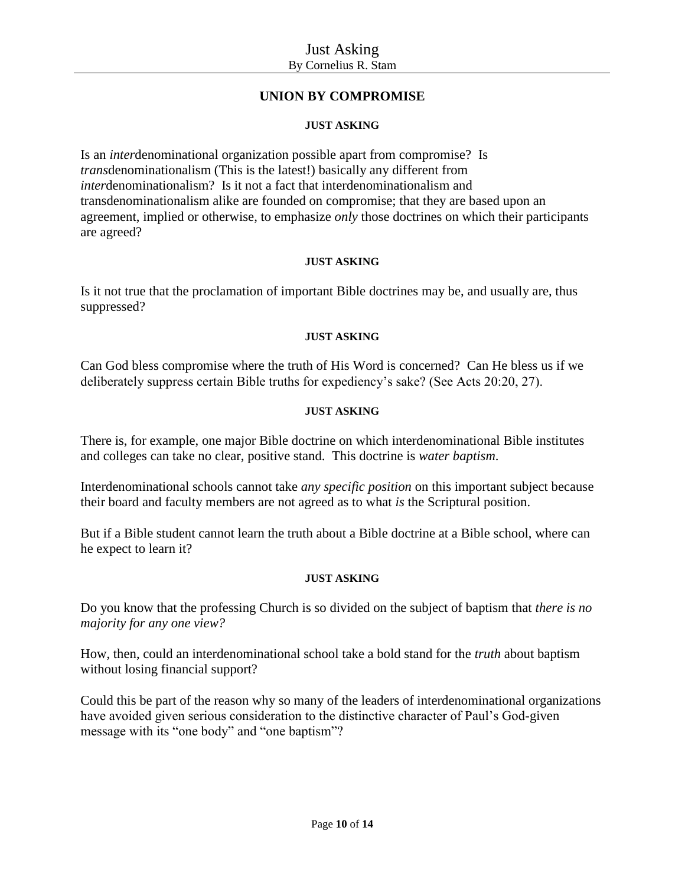## **UNION BY COMPROMISE**

## **JUST ASKING**

Is an *inter*denominational organization possible apart from compromise? Is *trans*denominationalism (This is the latest!) basically any different from *inter*denominationalism? Is it not a fact that interdenominationalism and transdenominationalism alike are founded on compromise; that they are based upon an agreement, implied or otherwise, to emphasize *only* those doctrines on which their participants are agreed?

#### **JUST ASKING**

Is it not true that the proclamation of important Bible doctrines may be, and usually are, thus suppressed?

#### **JUST ASKING**

Can God bless compromise where the truth of His Word is concerned? Can He bless us if we deliberately suppress certain Bible truths for expediency's sake? (See Acts 20:20, 27).

#### **JUST ASKING**

There is, for example, one major Bible doctrine on which interdenominational Bible institutes and colleges can take no clear, positive stand. This doctrine is *water baptism*.

Interdenominational schools cannot take *any specific position* on this important subject because their board and faculty members are not agreed as to what *is* the Scriptural position.

But if a Bible student cannot learn the truth about a Bible doctrine at a Bible school, where can he expect to learn it?

## **JUST ASKING**

Do you know that the professing Church is so divided on the subject of baptism that *there is no majority for any one view?*

How, then, could an interdenominational school take a bold stand for the *truth* about baptism without losing financial support?

Could this be part of the reason why so many of the leaders of interdenominational organizations have avoided given serious consideration to the distinctive character of Paul's God-given message with its "one body" and "one baptism"?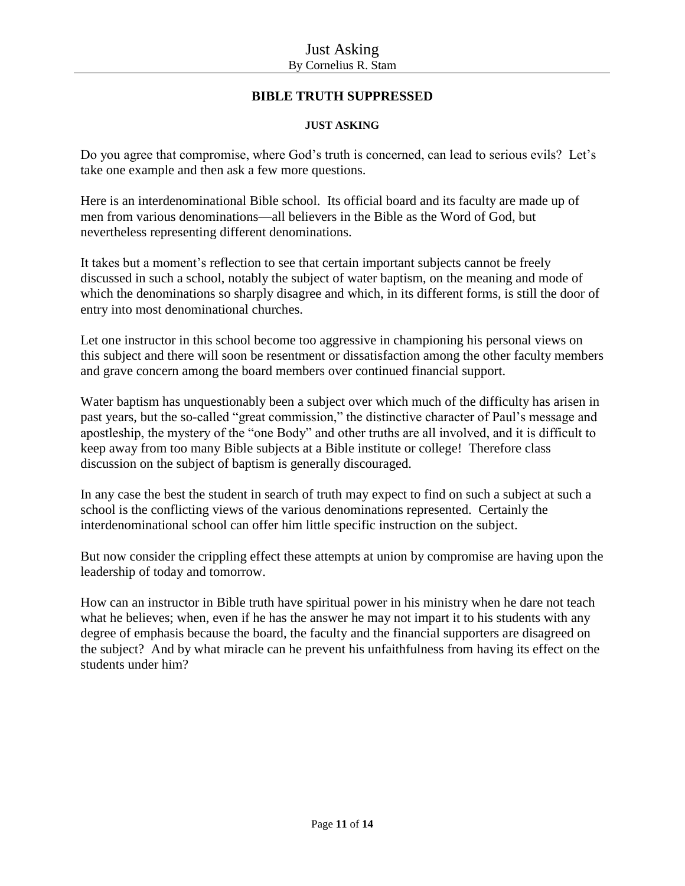# **BIBLE TRUTH SUPPRESSED**

### **JUST ASKING**

Do you agree that compromise, where God's truth is concerned, can lead to serious evils? Let's take one example and then ask a few more questions.

Here is an interdenominational Bible school. Its official board and its faculty are made up of men from various denominations—all believers in the Bible as the Word of God, but nevertheless representing different denominations.

It takes but a moment's reflection to see that certain important subjects cannot be freely discussed in such a school, notably the subject of water baptism, on the meaning and mode of which the denominations so sharply disagree and which, in its different forms, is still the door of entry into most denominational churches.

Let one instructor in this school become too aggressive in championing his personal views on this subject and there will soon be resentment or dissatisfaction among the other faculty members and grave concern among the board members over continued financial support.

Water baptism has unquestionably been a subject over which much of the difficulty has arisen in past years, but the so-called "great commission," the distinctive character of Paul's message and apostleship, the mystery of the "one Body" and other truths are all involved, and it is difficult to keep away from too many Bible subjects at a Bible institute or college! Therefore class discussion on the subject of baptism is generally discouraged.

In any case the best the student in search of truth may expect to find on such a subject at such a school is the conflicting views of the various denominations represented. Certainly the interdenominational school can offer him little specific instruction on the subject.

But now consider the crippling effect these attempts at union by compromise are having upon the leadership of today and tomorrow.

How can an instructor in Bible truth have spiritual power in his ministry when he dare not teach what he believes; when, even if he has the answer he may not impart it to his students with any degree of emphasis because the board, the faculty and the financial supporters are disagreed on the subject? And by what miracle can he prevent his unfaithfulness from having its effect on the students under him?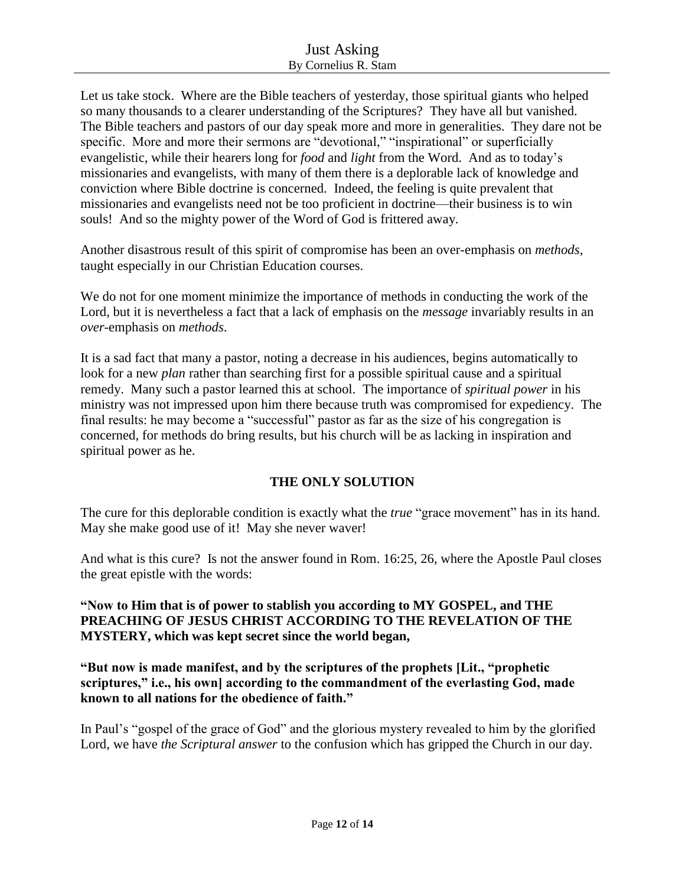Let us take stock. Where are the Bible teachers of yesterday, those spiritual giants who helped so many thousands to a clearer understanding of the Scriptures? They have all but vanished. The Bible teachers and pastors of our day speak more and more in generalities. They dare not be specific. More and more their sermons are "devotional," "inspirational" or superficially evangelistic, while their hearers long for *food* and *light* from the Word. And as to today's missionaries and evangelists, with many of them there is a deplorable lack of knowledge and conviction where Bible doctrine is concerned. Indeed, the feeling is quite prevalent that missionaries and evangelists need not be too proficient in doctrine—their business is to win souls! And so the mighty power of the Word of God is frittered away.

Another disastrous result of this spirit of compromise has been an over-emphasis on *methods*, taught especially in our Christian Education courses.

We do not for one moment minimize the importance of methods in conducting the work of the Lord, but it is nevertheless a fact that a lack of emphasis on the *message* invariably results in an *over*-emphasis on *methods*.

It is a sad fact that many a pastor, noting a decrease in his audiences, begins automatically to look for a new *plan* rather than searching first for a possible spiritual cause and a spiritual remedy. Many such a pastor learned this at school. The importance of *spiritual power* in his ministry was not impressed upon him there because truth was compromised for expediency. The final results: he may become a "successful" pastor as far as the size of his congregation is concerned, for methods do bring results, but his church will be as lacking in inspiration and spiritual power as he.

# **THE ONLY SOLUTION**

The cure for this deplorable condition is exactly what the *true* "grace movement" has in its hand. May she make good use of it! May she never waver!

And what is this cure? Is not the answer found in Rom. 16:25, 26, where the Apostle Paul closes the great epistle with the words:

## **"Now to Him that is of power to stablish you according to MY GOSPEL, and THE PREACHING OF JESUS CHRIST ACCORDING TO THE REVELATION OF THE MYSTERY, which was kept secret since the world began,**

**"But now is made manifest, and by the scriptures of the prophets [Lit., "prophetic scriptures," i.e., his own] according to the commandment of the everlasting God, made known to all nations for the obedience of faith."**

In Paul's "gospel of the grace of God" and the glorious mystery revealed to him by the glorified Lord, we have *the Scriptural answer* to the confusion which has gripped the Church in our day.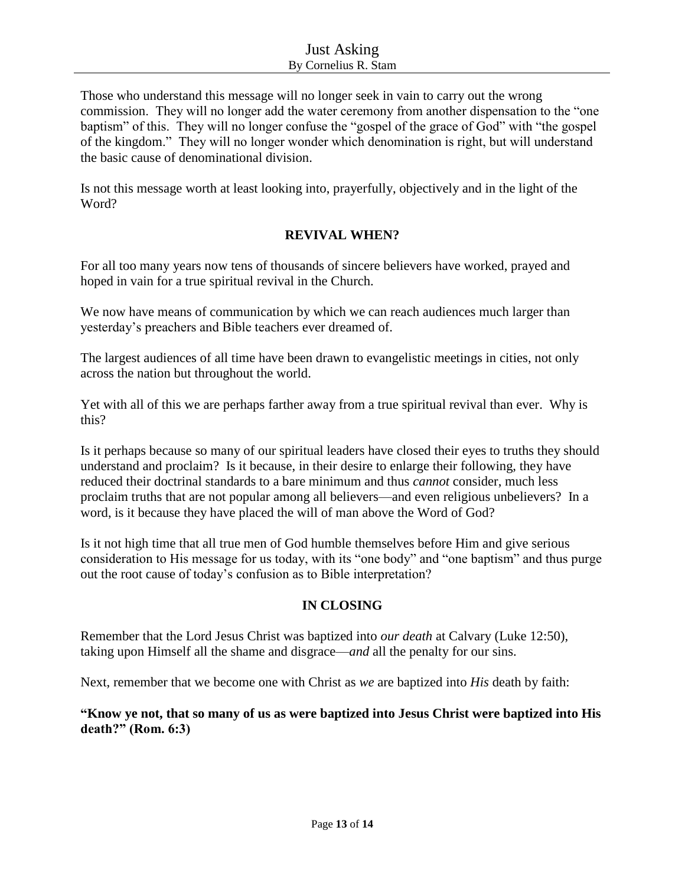Those who understand this message will no longer seek in vain to carry out the wrong commission. They will no longer add the water ceremony from another dispensation to the "one baptism" of this. They will no longer confuse the "gospel of the grace of God" with "the gospel of the kingdom." They will no longer wonder which denomination is right, but will understand the basic cause of denominational division.

Is not this message worth at least looking into, prayerfully, objectively and in the light of the Word?

## **REVIVAL WHEN?**

For all too many years now tens of thousands of sincere believers have worked, prayed and hoped in vain for a true spiritual revival in the Church.

We now have means of communication by which we can reach audiences much larger than yesterday's preachers and Bible teachers ever dreamed of.

The largest audiences of all time have been drawn to evangelistic meetings in cities, not only across the nation but throughout the world.

Yet with all of this we are perhaps farther away from a true spiritual revival than ever. Why is this?

Is it perhaps because so many of our spiritual leaders have closed their eyes to truths they should understand and proclaim? Is it because, in their desire to enlarge their following, they have reduced their doctrinal standards to a bare minimum and thus *cannot* consider, much less proclaim truths that are not popular among all believers—and even religious unbelievers? In a word, is it because they have placed the will of man above the Word of God?

Is it not high time that all true men of God humble themselves before Him and give serious consideration to His message for us today, with its "one body" and "one baptism" and thus purge out the root cause of today's confusion as to Bible interpretation?

# **IN CLOSING**

Remember that the Lord Jesus Christ was baptized into *our death* at Calvary (Luke 12:50), taking upon Himself all the shame and disgrace—*and* all the penalty for our sins.

Next, remember that we become one with Christ as *we* are baptized into *His* death by faith:

**"Know ye not, that so many of us as were baptized into Jesus Christ were baptized into His death?" (Rom. 6:3)**